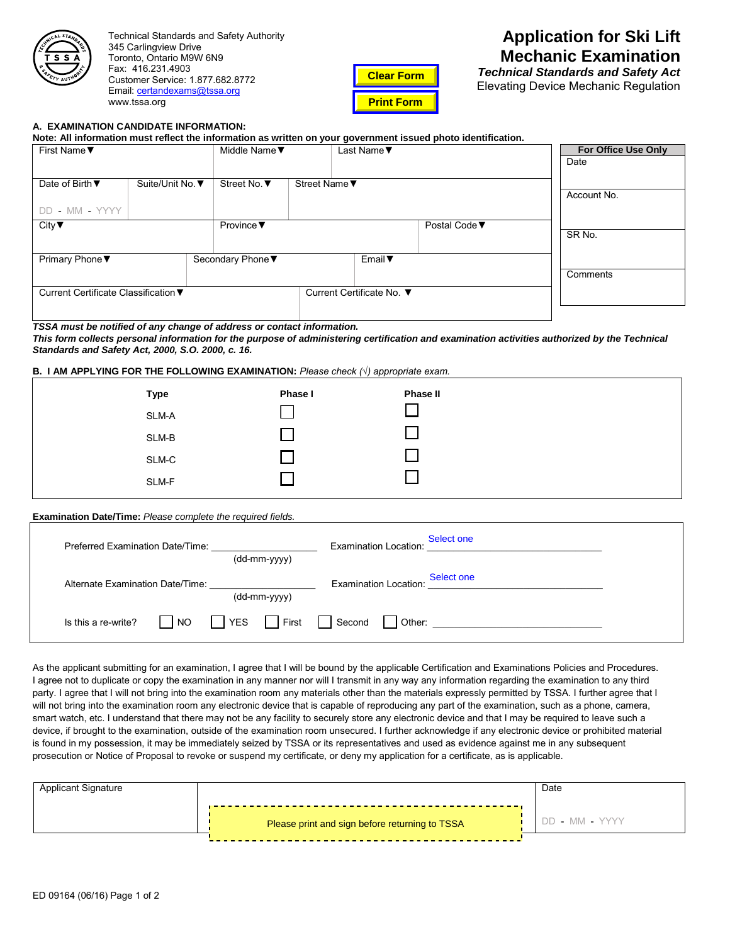

Technical Standards and Safety Authority 345 Carlingview Drive Toronto, Ontario M9W 6N9 Fax: 416.231.4903 Customer Service: 1.877.682.8772 Email: certandexams[@tssa.org](mailto:certandexams@tssa.org) www.tssa.org



# **Application for Ski Lift Mechanic Examination**

*Technical Standards and Safety Act* Elevating Device Mechanic Regulation

#### **A. EXAMINATION CANDIDATE INFORMATION:**

**Note: All information must reflect the information as written on your government issued photo identification.**

| First Name ▼                         |                  | Middle Name ▼                 |                           | Last Name ▼  |               | For Office Use Only |
|--------------------------------------|------------------|-------------------------------|---------------------------|--------------|---------------|---------------------|
|                                      |                  |                               |                           |              |               | Date                |
| Date of Birth ▼                      | Suite/Unit No. ▼ | Street No. ▼                  | Street Name ▼             |              |               |                     |
|                                      |                  |                               |                           |              |               | Account No.         |
| DD - MM - YYYY                       |                  |                               |                           |              |               |                     |
| City $\blacktriangledown$            |                  | Province $\blacktriangledown$ |                           |              | Postal Code ▼ |                     |
|                                      |                  |                               |                           |              |               | SR No.              |
| Primary Phone ▼                      |                  | Secondary Phone▼              |                           | Email $\Psi$ |               |                     |
|                                      |                  |                               |                           |              |               | Comments            |
| Current Certificate Classification ▼ |                  |                               | Current Certificate No. ▼ |              |               |                     |
|                                      |                  |                               |                           |              |               |                     |

#### *TSSA must be notified of any change of address or contact information.*

*This form collects personal information for the purpose of administering certification and examination activities authorized by the Technical Standards and Safety Act, 2000, S.O. 2000, c. 16.*

### **B. I AM APPLYING FOR THE FOLLOWING EXAMINATION:** *Please check (√) appropriate exam.*

| <b>Type</b> | Phase I | <b>Phase II</b> |
|-------------|---------|-----------------|
| SLM-A       |         |                 |
| SLM-B       |         |                 |
| SLM-C       |         |                 |
| SLM-F       |         |                 |
|             |         |                 |

#### **Examination Date/Time:** *Please complete the required fields.*

| Preferred Examination Date/Time: |    |            | <b>Examination Location:</b> | Select one            |            |  |
|----------------------------------|----|------------|------------------------------|-----------------------|------------|--|
|                                  |    |            | (dd-mm-yyyy)                 |                       |            |  |
| Alternate Examination Date/Time: |    |            |                              | Examination Location: | Select one |  |
|                                  |    |            | (dd-mm-yyyy)                 |                       |            |  |
| Is this a re-write?              | NO | <b>YES</b> | First                        | Second                |            |  |

As the applicant submitting for an examination, I agree that I will be bound by the applicable Certification and Examinations Policies and Procedures. I agree not to duplicate or copy the examination in any manner nor will I transmit in any way any information regarding the examination to any third party. I agree that I will not bring into the examination room any materials other than the materials expressly permitted by TSSA. I further agree that I will not bring into the examination room any electronic device that is capable of reproducing any part of the examination, such as a phone, camera, smart watch, etc. I understand that there may not be any facility to securely store any electronic device and that I may be required to leave such a device, if brought to the examination, outside of the examination room unsecured. I further acknowledge if any electronic device or prohibited material is found in my possession, it may be immediately seized by TSSA or its representatives and used as evidence against me in any subsequent prosecution or Notice of Proposal to revoke or suspend my certificate, or deny my application for a certificate, as is applicable.

| Applicant Signature |                                                | Date           |
|---------------------|------------------------------------------------|----------------|
|                     | Please print and sign before returning to TSSA | DD - MM - YYYY |
|                     |                                                |                |